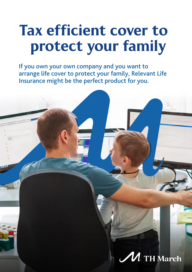# Tax efficient cover to protect your family

If you own your own company and you want to arrange life cover to protect your family, Relevant Life Insurance might be the perfect product for you.